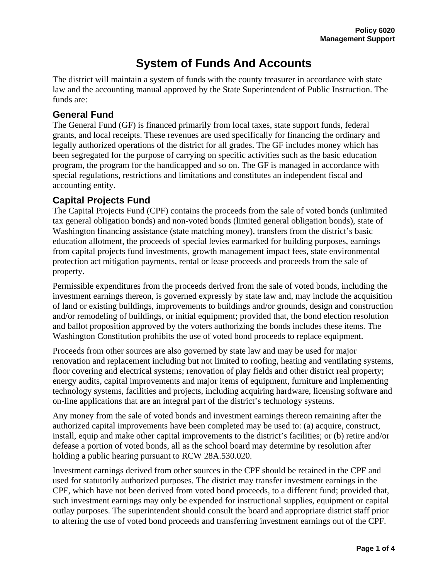# **System of Funds And Accounts**

The district will maintain a system of funds with the county treasurer in accordance with state law and the accounting manual approved by the State Superintendent of Public Instruction. The funds are:

### **General Fund**

The General Fund (GF) is financed primarily from local taxes, state support funds, federal grants, and local receipts. These revenues are used specifically for financing the ordinary and legally authorized operations of the district for all grades. The GF includes money which has been segregated for the purpose of carrying on specific activities such as the basic education program, the program for the handicapped and so on. The GF is managed in accordance with special regulations, restrictions and limitations and constitutes an independent fiscal and accounting entity.

# **Capital Projects Fund**

The Capital Projects Fund (CPF) contains the proceeds from the sale of voted bonds (unlimited tax general obligation bonds) and non-voted bonds (limited general obligation bonds), state of Washington financing assistance (state matching money), transfers from the district's basic education allotment, the proceeds of special levies earmarked for building purposes, earnings from capital projects fund investments, growth management impact fees, state environmental protection act mitigation payments, rental or lease proceeds and proceeds from the sale of property.

Permissible expenditures from the proceeds derived from the sale of voted bonds, including the investment earnings thereon, is governed expressly by state law and, may include the acquisition of land or existing buildings, improvements to buildings and/or grounds, design and construction and/or remodeling of buildings, or initial equipment; provided that, the bond election resolution and ballot proposition approved by the voters authorizing the bonds includes these items. The Washington Constitution prohibits the use of voted bond proceeds to replace equipment.

Proceeds from other sources are also governed by state law and may be used for major renovation and replacement including but not limited to roofing, heating and ventilating systems, floor covering and electrical systems; renovation of play fields and other district real property; energy audits, capital improvements and major items of equipment, furniture and implementing technology systems, facilities and projects, including acquiring hardware, licensing software and on-line applications that are an integral part of the district's technology systems.

Any money from the sale of voted bonds and investment earnings thereon remaining after the authorized capital improvements have been completed may be used to: (a) acquire, construct, install, equip and make other capital improvements to the district's facilities; or (b) retire and/or defease a portion of voted bonds, all as the school board may determine by resolution after holding a public hearing pursuant to RCW 28A.530.020.

Investment earnings derived from other sources in the CPF should be retained in the CPF and used for statutorily authorized purposes. The district may transfer investment earnings in the CPF, which have not been derived from voted bond proceeds, to a different fund; provided that, such investment earnings may only be expended for instructional supplies, equipment or capital outlay purposes. The superintendent should consult the board and appropriate district staff prior to altering the use of voted bond proceeds and transferring investment earnings out of the CPF.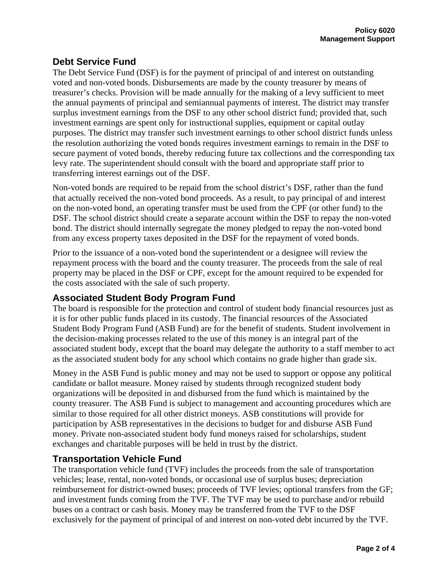# **Debt Service Fund**

The Debt Service Fund (DSF) is for the payment of principal of and interest on outstanding voted and non-voted bonds. Disbursements are made by the county treasurer by means of treasurer's checks. Provision will be made annually for the making of a levy sufficient to meet the annual payments of principal and semiannual payments of interest. The district may transfer surplus investment earnings from the DSF to any other school district fund; provided that, such investment earnings are spent only for instructional supplies, equipment or capital outlay purposes. The district may transfer such investment earnings to other school district funds unless the resolution authorizing the voted bonds requires investment earnings to remain in the DSF to secure payment of voted bonds, thereby reducing future tax collections and the corresponding tax levy rate. The superintendent should consult with the board and appropriate staff prior to transferring interest earnings out of the DSF.

Non-voted bonds are required to be repaid from the school district's DSF, rather than the fund that actually received the non-voted bond proceeds. As a result, to pay principal of and interest on the non-voted bond, an operating transfer must be used from the CPF (or other fund) to the DSF. The school district should create a separate account within the DSF to repay the non-voted bond. The district should internally segregate the money pledged to repay the non-voted bond from any excess property taxes deposited in the DSF for the repayment of voted bonds.

Prior to the issuance of a non-voted bond the superintendent or a designee will review the repayment process with the board and the county treasurer. The proceeds from the sale of real property may be placed in the DSF or CPF, except for the amount required to be expended for the costs associated with the sale of such property.

#### **Associated Student Body Program Fund**

The board is responsible for the protection and control of student body financial resources just as it is for other public funds placed in its custody. The financial resources of the Associated Student Body Program Fund (ASB Fund) are for the benefit of students. Student involvement in the decision-making processes related to the use of this money is an integral part of the associated student body, except that the board may delegate the authority to a staff member to act as the associated student body for any school which contains no grade higher than grade six.

Money in the ASB Fund is public money and may not be used to support or oppose any political candidate or ballot measure. Money raised by students through recognized student body organizations will be deposited in and disbursed from the fund which is maintained by the county treasurer. The ASB Fund is subject to management and accounting procedures which are similar to those required for all other district moneys. ASB constitutions will provide for participation by ASB representatives in the decisions to budget for and disburse ASB Fund money. Private non-associated student body fund moneys raised for scholarships, student exchanges and charitable purposes will be held in trust by the district.

#### **Transportation Vehicle Fund**

The transportation vehicle fund (TVF) includes the proceeds from the sale of transportation vehicles; lease, rental, non-voted bonds, or occasional use of surplus buses; depreciation reimbursement for district-owned buses; proceeds of TVF levies; optional transfers from the GF; and investment funds coming from the TVF. The TVF may be used to purchase and/or rebuild buses on a contract or cash basis. Money may be transferred from the TVF to the DSF exclusively for the payment of principal of and interest on non-voted debt incurred by the TVF.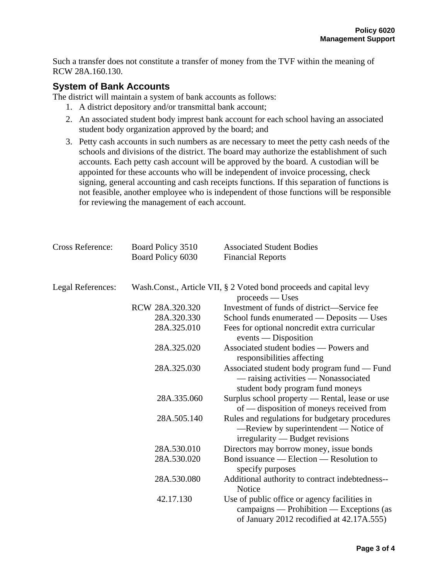Such a transfer does not constitute a transfer of money from the TVF within the meaning of RCW 28A.160.130.

#### **System of Bank Accounts**

The district will maintain a system of bank accounts as follows:

- 1. A district depository and/or transmittal bank account;
- 2. An associated student body imprest bank account for each school having an associated student body organization approved by the board; and
- 3. Petty cash accounts in such numbers as are necessary to meet the petty cash needs of the schools and divisions of the district. The board may authorize the establishment of such accounts. Each petty cash account will be approved by the board. A custodian will be appointed for these accounts who will be independent of invoice processing, check signing, general accounting and cash receipts functions. If this separation of functions is not feasible, another employee who is independent of those functions will be responsible for reviewing the management of each account.

| Cross Reference:  | Board Policy 3510 | <b>Associated Student Bodies</b>                                                                                                      |
|-------------------|-------------------|---------------------------------------------------------------------------------------------------------------------------------------|
|                   | Board Policy 6030 | <b>Financial Reports</b>                                                                                                              |
| Legal References: |                   | Wash.Const., Article VII, § 2 Voted bond proceeds and capital levy<br>$process$ $-$ Uses                                              |
|                   | RCW 28A.320.320   | Investment of funds of district—Service fee                                                                                           |
|                   | 28A.320.330       | School funds enumerated — Deposits — Uses                                                                                             |
|                   | 28A.325.010       | Fees for optional noncredit extra curricular<br>$events$ - Disposition                                                                |
|                   | 28A.325.020       | Associated student bodies — Powers and<br>responsibilities affecting                                                                  |
|                   | 28A.325.030       | Associated student body program fund - Fund<br>- raising activities - Nonassociated<br>student body program fund moneys               |
|                   | 28A.335.060       | Surplus school property — Rental, lease or use<br>of — disposition of moneys received from                                            |
|                   | 28A.505.140       | Rules and regulations for budgetary procedures<br>—Review by superintendent — Notice of<br>$irregularity$ – Budget revisions          |
|                   | 28A.530.010       | Directors may borrow money, issue bonds                                                                                               |
|                   | 28A.530.020       | Bond issuance — Election — Resolution to<br>specify purposes                                                                          |
|                   | 28A.530.080       | Additional authority to contract indebtedness--<br><b>Notice</b>                                                                      |
|                   | 42.17.130         | Use of public office or agency facilities in<br>campaigns — Prohibition — Exceptions (as<br>of January 2012 recodified at 42.17A.555) |